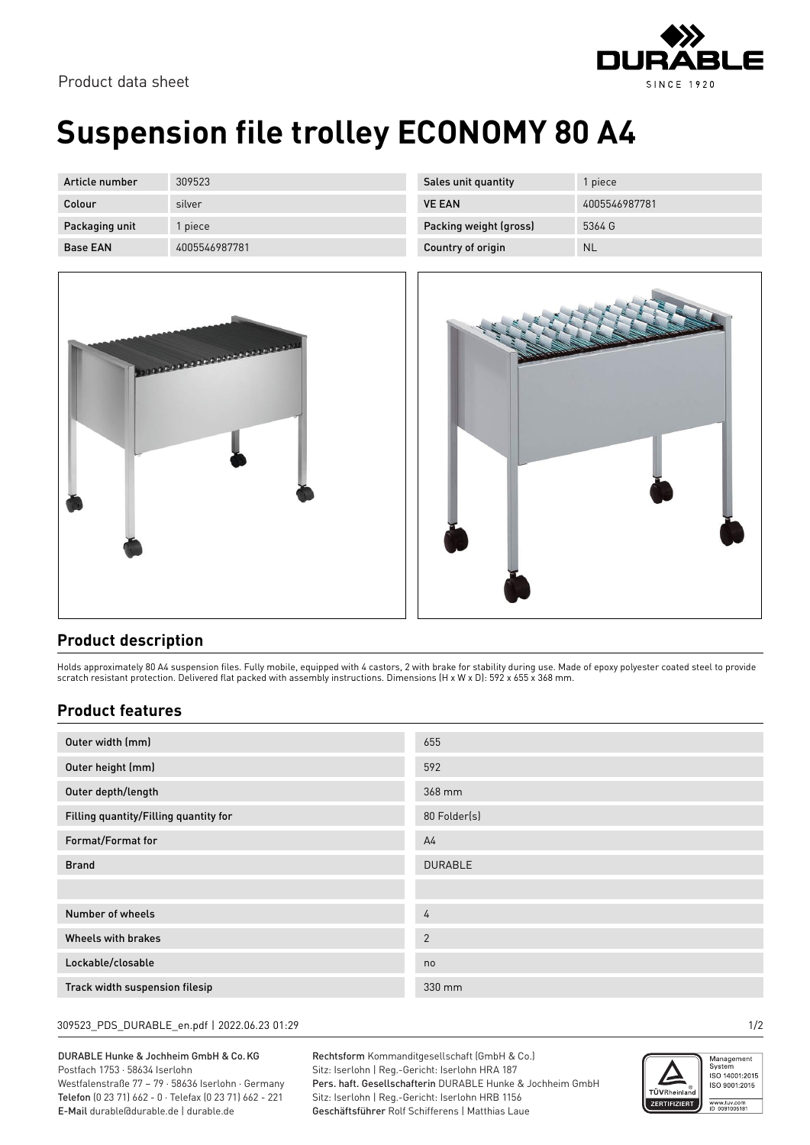

Product data sheet

# **Suspension file trolley ECONOMY 80 A4**

| Article number  | 309523        |
|-----------------|---------------|
| Colour          | silver        |
| Packaging unit  | 1 piece       |
| <b>Base FAN</b> | 4005546987781 |



| Sales unit quantity    | 1 piece       |
|------------------------|---------------|
| <b>VE FAN</b>          | 4005546987781 |
| Packing weight (gross) | 5364 G        |
| Country of origin      | ΝI            |



### **Product description**

Holds approximately 80 A4 suspension files. Fully mobile, equipped with 4 castors, 2 with brake for stability during use. Made of epoxy polyester coated steel to provide scratch resistant protection. Delivered flat packed with assembly instructions. Dimensions (H x W x D): 592 x 655 x 368 mm.

### **Product features**

| Outer width (mm)                      | 655            |
|---------------------------------------|----------------|
| Outer height (mm)                     | 592            |
| Outer depth/length                    | 368 mm         |
| Filling quantity/Filling quantity for | 80 Folder(s)   |
| Format/Format for                     | A <sub>4</sub> |
| <b>Brand</b>                          | <b>DURABLE</b> |
|                                       |                |
| Number of wheels                      | 4              |
| Wheels with brakes                    | $\overline{2}$ |
| Lockable/closable                     | no             |
| Track width suspension filesip        | 330 mm         |

#### 309523\_PDS\_DURABLE\_en.pdf | 2022.06.23 01:29 1/2

DURABLE Hunke & Jochheim GmbH & Co.KG Postfach 1753 · 58634 Iserlohn Westfalenstraße 77 – 79 · 58636 Iserlohn · Germany Telefon (0 23 71) 662 - 0 · Telefax (0 23 71) 662 - 221 E-Mail durable@durable.de | durable.de

Rechtsform Kommanditgesellschaft (GmbH & Co.) Sitz: Iserlohn | Reg.-Gericht: Iserlohn HRA 187 Pers. haft. Gesellschafterin DURABLE Hunke & Jochheim GmbH Sitz: Iserlohn | Reg.-Gericht: Iserlohn HRB 1156 Geschäftsführer Rolf Schifferens | Matthias Laue